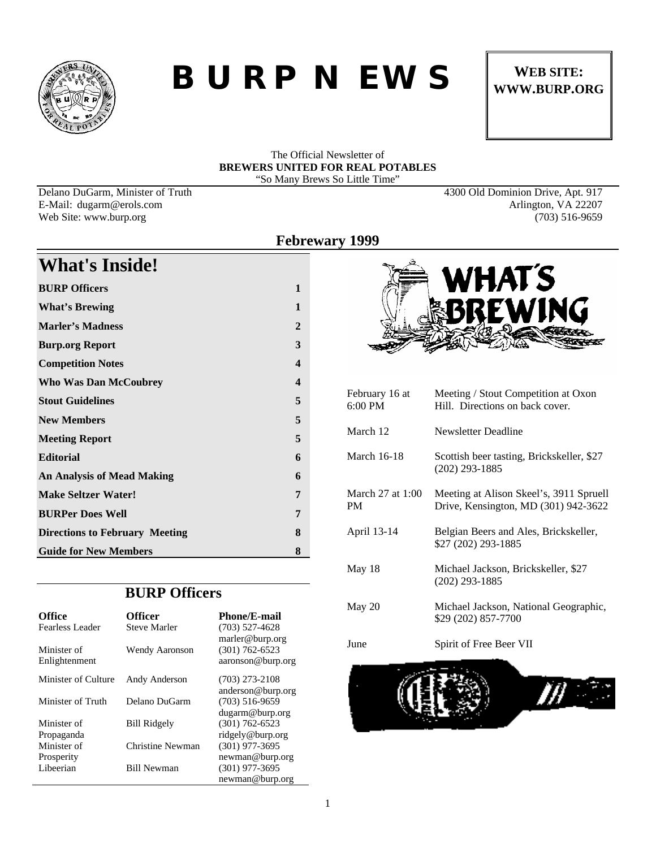

## *BURP NEWS* WEB SITE:

# **WWW.BURP.ORG**

## The Official Newsletter of **BREWERS UNITED FOR REAL POTABLES** "So Many Brews So Little Time"

Delano DuGarm, Minister of Truth 4300 Old Dominion Drive, Apt. 917

**What's Inside!**

## E-Mail: dugarm@erols.com Arlington, VA 22207 Web Site: www.burp.org (703) 516-9659

| <b>BURP Officers</b>                  | 1                       |
|---------------------------------------|-------------------------|
| <b>What's Brewing</b>                 | 1                       |
| <b>Marler's Madness</b>               | $\overline{2}$          |
| <b>Burp.org Report</b>                | 3                       |
| <b>Competition Notes</b>              | 4                       |
| <b>Who Was Dan McCoubrey</b>          | $\overline{\mathbf{4}}$ |
| <b>Stout Guidelines</b>               | 5                       |
| <b>New Members</b>                    | 5                       |
| <b>Meeting Report</b>                 | 5                       |
| <b>Editorial</b>                      | 6                       |
| <b>An Analysis of Mead Making</b>     | 6                       |
| <b>Make Seltzer Water!</b>            | 7                       |
| <b>BURPer Does Well</b>               | 7                       |
| <b>Directions to February Meeting</b> | 8                       |
| <b>Guide for New Members</b>          | 8                       |

## **BURP Officers**

| <b>Office</b>       | <b>Officer</b>        | <b>Phone/E-mail</b> |
|---------------------|-----------------------|---------------------|
| Fearless Leader     | <b>Steve Marler</b>   | $(703)$ 527-4628    |
|                     |                       | marler@burp.org     |
| Minister of         | <b>Wendy Aaronson</b> | $(301) 762 - 6523$  |
| Enlightenment       |                       | aaronson@burp.org   |
| Minister of Culture | Andy Anderson         | $(703)$ 273-2108    |
|                     |                       | anderson@burp.org   |
| Minister of Truth   | Delano DuGarm         | $(703)$ 516-9659    |
|                     |                       | dugarm@burp.org     |
| Minister of         | <b>Bill Ridgely</b>   | $(301) 762 - 6523$  |
| Propaganda          |                       | ridgely@burp.org    |
| Minister of         | Christine Newman      | $(301)$ 977-3695    |
| Prosperity          |                       | newman@burp.org     |
| Libeerian           | <b>Bill Newman</b>    | $(301)$ 977-3695    |
|                     |                       | newman@burp.org     |





| February 16 at<br>$6:00$ PM | Meeting / Stout Competition at Oxon<br>Hill. Directions on back cover.          |
|-----------------------------|---------------------------------------------------------------------------------|
| March 12                    | Newsletter Deadline                                                             |
| <b>March 16-18</b>          | Scottish beer tasting, Brickskeller, \$27<br>$(202)$ 293-1885                   |
| March 27 at 1:00<br>PM      | Meeting at Alison Skeel's, 3911 Spruell<br>Drive, Kensington, MD (301) 942-3622 |
| April 13-14                 | Belgian Beers and Ales, Brickskeller,<br>\$27 (202) 293-1885                    |
| May 18                      | Michael Jackson, Brickskeller, \$27<br>$(202)$ 293-1885                         |
| May 20                      | Michael Jackson, National Geographic,<br>\$29 (202) 857-7700                    |
| June                        | Spirit of Free Beer VII                                                         |
|                             |                                                                                 |

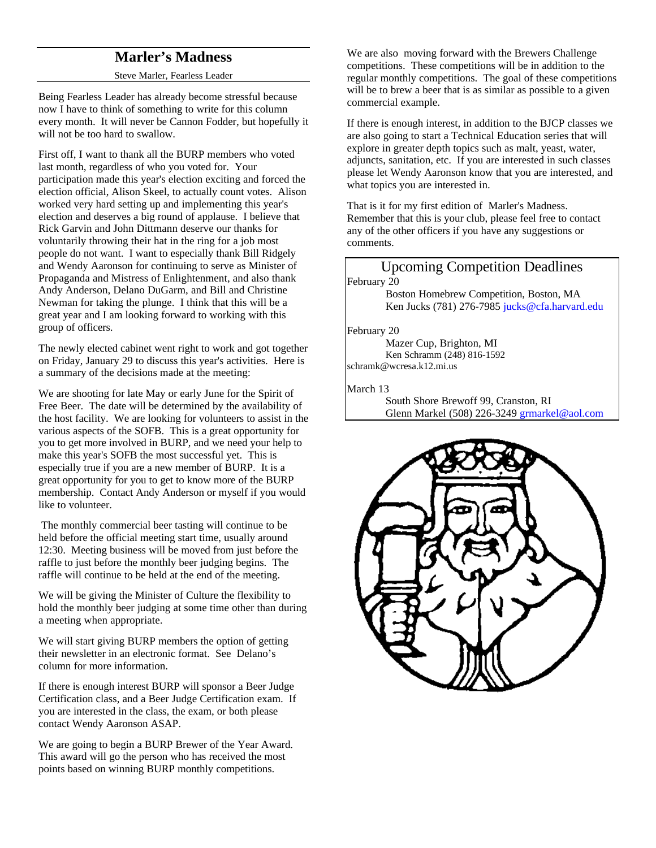## **Marler's Madness**

### Steve Marler, Fearless Leader

Being Fearless Leader has already become stressful because now I have to think of something to write for this column every month. It will never be Cannon Fodder, but hopefully it will not be too hard to swallow.

First off, I want to thank all the BURP members who voted last month, regardless of who you voted for. Your participation made this year's election exciting and forced the election official, Alison Skeel, to actually count votes. Alison worked very hard setting up and implementing this year's election and deserves a big round of applause. I believe that Rick Garvin and John Dittmann deserve our thanks for voluntarily throwing their hat in the ring for a job most people do not want. I want to especially thank Bill Ridgely and Wendy Aaronson for continuing to serve as Minister of Propaganda and Mistress of Enlightenment, and also thank Andy Anderson, Delano DuGarm, and Bill and Christine Newman for taking the plunge. I think that this will be a great year and I am looking forward to working with this group of officers.

The newly elected cabinet went right to work and got together on Friday, January 29 to discuss this year's activities. Here is a summary of the decisions made at the meeting:

We are shooting for late May or early June for the Spirit of Free Beer. The date will be determined by the availability of the host facility. We are looking for volunteers to assist in the various aspects of the SOFB. This is a great opportunity for you to get more involved in BURP, and we need your help to make this year's SOFB the most successful yet. This is especially true if you are a new member of BURP. It is a great opportunity for you to get to know more of the BURP membership. Contact Andy Anderson or myself if you would like to volunteer.

 The monthly commercial beer tasting will continue to be held before the official meeting start time, usually around 12:30. Meeting business will be moved from just before the raffle to just before the monthly beer judging begins. The raffle will continue to be held at the end of the meeting.

We will be giving the Minister of Culture the flexibility to hold the monthly beer judging at some time other than during a meeting when appropriate.

We will start giving BURP members the option of getting their newsletter in an electronic format. See Delano's column for more information.

If there is enough interest BURP will sponsor a Beer Judge Certification class, and a Beer Judge Certification exam. If you are interested in the class, the exam, or both please contact Wendy Aaronson ASAP.

We are going to begin a BURP Brewer of the Year Award. This award will go the person who has received the most points based on winning BURP monthly competitions.

We are also moving forward with the Brewers Challenge competitions. These competitions will be in addition to the regular monthly competitions. The goal of these competitions will be to brew a beer that is as similar as possible to a given commercial example.

If there is enough interest, in addition to the BJCP classes we are also going to start a Technical Education series that will explore in greater depth topics such as malt, yeast, water, adjuncts, sanitation, etc. If you are interested in such classes please let Wendy Aaronson know that you are interested, and what topics you are interested in.

That is it for my first edition of Marler's Madness. Remember that this is your club, please feel free to contact any of the other officers if you have any suggestions or comments.

## Upcoming Competition Deadlines February 20

Boston Homebrew Competition, Boston, MA Ken Jucks (781) 276-7985 jucks@cfa.harvard.edu

#### February 20

Mazer Cup, Brighton, MI Ken Schramm (248) 816-1592 schramk@wcresa.k12.mi.us

### March 13

South Shore Brewoff 99, Cranston, RI Glenn Markel (508) 226-3249 grmarkel@aol.com

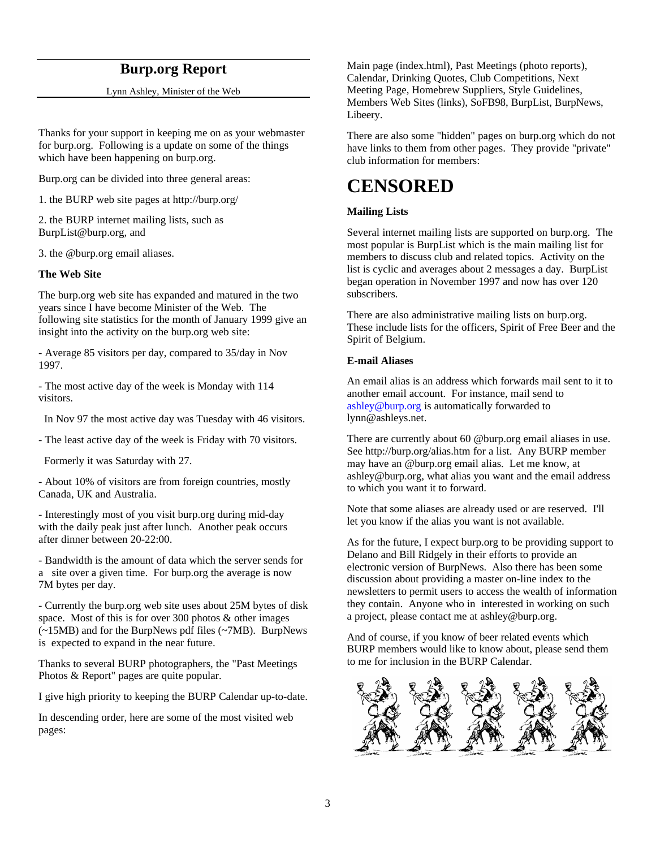## **Burp.org Report**

Lynn Ashley, Minister of the Web

Thanks for your support in keeping me on as your webmaster for burp.org. Following is a update on some of the things which have been happening on burp.org.

Burp.org can be divided into three general areas:

1. the BURP web site pages at http://burp.org/

2. the BURP internet mailing lists, such as BurpList@burp.org, and

3. the @burp.org email aliases.

## **The Web Site**

The burp.org web site has expanded and matured in the two years since I have become Minister of the Web. The following site statistics for the month of January 1999 give an insight into the activity on the burp.org web site:

- Average 85 visitors per day, compared to 35/day in Nov 1997.

- The most active day of the week is Monday with 114 visitors.

In Nov 97 the most active day was Tuesday with 46 visitors.

- The least active day of the week is Friday with 70 visitors.

Formerly it was Saturday with 27.

- About 10% of visitors are from foreign countries, mostly Canada, UK and Australia.

- Interestingly most of you visit burp.org during mid-day with the daily peak just after lunch. Another peak occurs after dinner between 20-22:00.

- Bandwidth is the amount of data which the server sends for a site over a given time. For burp.org the average is now 7M bytes per day.

- Currently the burp.org web site uses about 25M bytes of disk space. Most of this is for over 300 photos & other images (~15MB) and for the BurpNews pdf files (~7MB). BurpNews is expected to expand in the near future.

Thanks to several BURP photographers, the "Past Meetings Photos & Report" pages are quite popular.

I give high priority to keeping the BURP Calendar up-to-date.

In descending order, here are some of the most visited web pages:

Main page (index.html), Past Meetings (photo reports), Calendar, Drinking Quotes, Club Competitions, Next Meeting Page, Homebrew Suppliers, Style Guidelines, Members Web Sites (links), SoFB98, BurpList, BurpNews, Libeery.

There are also some "hidden" pages on burp.org which do not have links to them from other pages. They provide "private" club information for members:

## **CENSORED**

## **Mailing Lists**

Several internet mailing lists are supported on burp.org. The most popular is BurpList which is the main mailing list for members to discuss club and related topics. Activity on the list is cyclic and averages about 2 messages a day. BurpList began operation in November 1997 and now has over 120 subscribers.

There are also administrative mailing lists on burp.org. These include lists for the officers, Spirit of Free Beer and the Spirit of Belgium.

### **E-mail Aliases**

An email alias is an address which forwards mail sent to it to another email account. For instance, mail send to ashley@burp.org is automatically forwarded to lynn@ashleys.net.

There are currently about 60 @burp.org email aliases in use. See http://burp.org/alias.htm for a list. Any BURP member may have an @burp.org email alias. Let me know, at ashley@burp.org, what alias you want and the email address to which you want it to forward.

Note that some aliases are already used or are reserved. I'll let you know if the alias you want is not available.

As for the future, I expect burp.org to be providing support to Delano and Bill Ridgely in their efforts to provide an electronic version of BurpNews. Also there has been some discussion about providing a master on-line index to the newsletters to permit users to access the wealth of information they contain. Anyone who in interested in working on such a project, please contact me at ashley@burp.org.

And of course, if you know of beer related events which BURP members would like to know about, please send them to me for inclusion in the BURP Calendar.

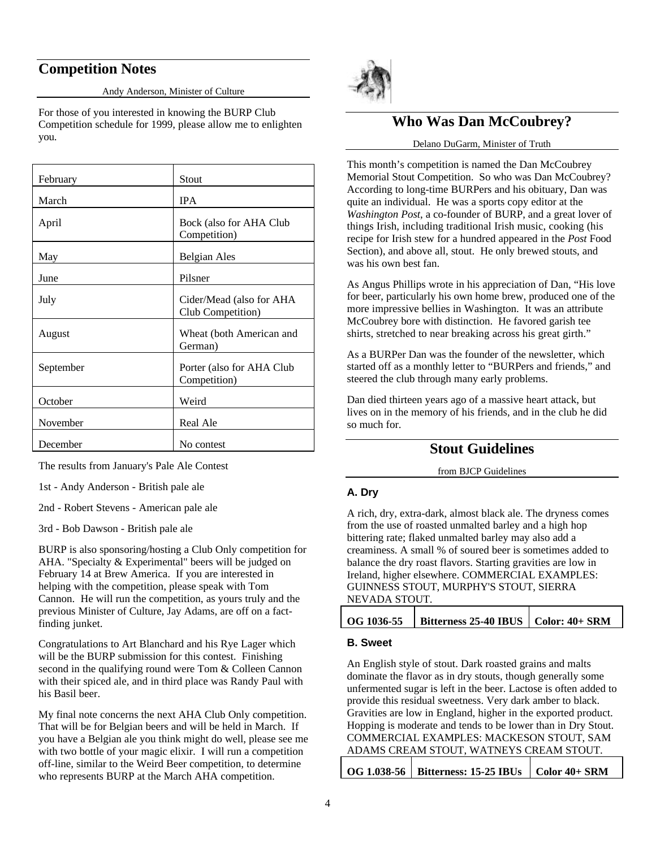## **Competition Notes**

Andy Anderson, Minister of Culture

For those of you interested in knowing the BURP Club Competition schedule for 1999, please allow me to enlighten you.

| February  | Stout                                         |
|-----------|-----------------------------------------------|
| March     | <b>IPA</b>                                    |
| April     | Bock (also for AHA Club<br>Competition)       |
| May       | Belgian Ales                                  |
| June      | Pilsner                                       |
| July      | Cider/Mead (also for AHA<br>Club Competition) |
| August    | Wheat (both American and<br>German)           |
| September | Porter (also for AHA Club<br>Competition)     |
| October   | Weird                                         |
| November  | Real Ale                                      |
| December  | No contest                                    |

The results from January's Pale Ale Contest

1st - Andy Anderson - British pale ale

2nd - Robert Stevens - American pale ale

3rd - Bob Dawson - British pale ale

BURP is also sponsoring/hosting a Club Only competition for AHA. "Specialty & Experimental" beers will be judged on February 14 at Brew America. If you are interested in helping with the competition, please speak with Tom Cannon. He will run the competition, as yours truly and the previous Minister of Culture, Jay Adams, are off on a factfinding junket.

Congratulations to Art Blanchard and his Rye Lager which will be the BURP submission for this contest. Finishing second in the qualifying round were Tom & Colleen Cannon with their spiced ale, and in third place was Randy Paul with his Basil beer.

My final note concerns the next AHA Club Only competition. That will be for Belgian beers and will be held in March. If you have a Belgian ale you think might do well, please see me with two bottle of your magic elixir. I will run a competition off-line, similar to the Weird Beer competition, to determine who represents BURP at the March AHA competition.



## **Who Was Dan McCoubrey?**

#### Delano DuGarm, Minister of Truth

This month's competition is named the Dan McCoubrey Memorial Stout Competition. So who was Dan McCoubrey? According to long-time BURPers and his obituary, Dan was quite an individual. He was a sports copy editor at the *Washington Post*, a co-founder of BURP, and a great lover of things Irish, including traditional Irish music, cooking (his recipe for Irish stew for a hundred appeared in the *Post* Food Section), and above all, stout. He only brewed stouts, and was his own best fan.

As Angus Phillips wrote in his appreciation of Dan, "His love for beer, particularly his own home brew, produced one of the more impressive bellies in Washington. It was an attribute McCoubrey bore with distinction. He favored garish tee shirts, stretched to near breaking across his great girth."

As a BURPer Dan was the founder of the newsletter, which started off as a monthly letter to "BURPers and friends," and steered the club through many early problems.

Dan died thirteen years ago of a massive heart attack, but lives on in the memory of his friends, and in the club he did so much for.

## **Stout Guidelines**

from BJCP Guidelines

## **A. Dry**

A rich, dry, extra-dark, almost black ale. The dryness comes from the use of roasted unmalted barley and a high hop bittering rate; flaked unmalted barley may also add a creaminess. A small % of soured beer is sometimes added to balance the dry roast flavors. Starting gravities are low in Ireland, higher elsewhere. COMMERCIAL EXAMPLES: GUINNESS STOUT, MURPHY'S STOUT, SIERRA NEVADA STOUT.

| $\vert$ Bitterness 25-40 IBUS $\vert$ Color: 40+ SRM<br>OG 1036-55 |  |
|--------------------------------------------------------------------|--|
|--------------------------------------------------------------------|--|

## **B. Sweet**

An English style of stout. Dark roasted grains and malts dominate the flavor as in dry stouts, though generally some unfermented sugar is left in the beer. Lactose is often added to provide this residual sweetness. Very dark amber to black. Gravities are low in England, higher in the exported product. Hopping is moderate and tends to be lower than in Dry Stout. COMMERCIAL EXAMPLES: MACKESON STOUT, SAM ADAMS CREAM STOUT, WATNEYS CREAM STOUT.

|  | OG 1.038-56   Bitterness: 15-25 IBUs   Color 40+ SRM |  |
|--|------------------------------------------------------|--|
|--|------------------------------------------------------|--|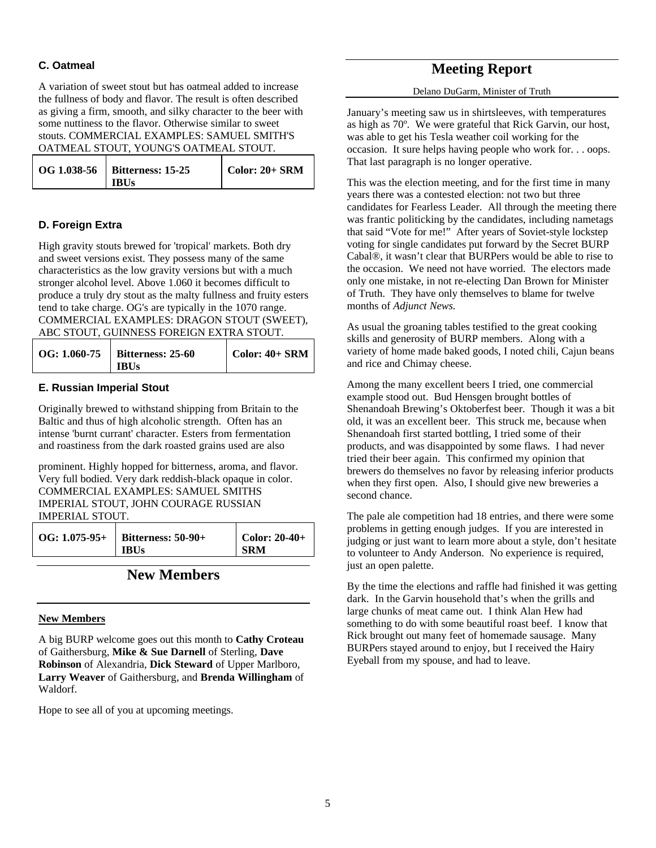## **C. Oatmeal**

A variation of sweet stout but has oatmeal added to increase the fullness of body and flavor. The result is often described as giving a firm, smooth, and silky character to the beer with some nuttiness to the flavor. Otherwise similar to sweet stouts. COMMERCIAL EXAMPLES: SAMUEL SMITH'S OATMEAL STOUT, YOUNG'S OATMEAL STOUT.

| OG 1.038-56   Bitterness: 15-25 | Color: $20+$ SRM |
|---------------------------------|------------------|
| <b>IBUs</b>                     |                  |

## **D. Foreign Extra**

High gravity stouts brewed for 'tropical' markets. Both dry and sweet versions exist. They possess many of the same characteristics as the low gravity versions but with a much stronger alcohol level. Above 1.060 it becomes difficult to produce a truly dry stout as the malty fullness and fruity esters tend to take charge. OG's are typically in the 1070 range. COMMERCIAL EXAMPLES: DRAGON STOUT (SWEET), ABC STOUT, GUINNESS FOREIGN EXTRA STOUT.

| OG: 1.060-75   Bitterness: 25-60 | $\vert$ Color: 40+ SRM |
|----------------------------------|------------------------|
| <b>IBUs</b>                      |                        |

## **E. Russian Imperial Stout**

Originally brewed to withstand shipping from Britain to the Baltic and thus of high alcoholic strength. Often has an intense 'burnt currant' character. Esters from fermentation and roastiness from the dark roasted grains used are also

prominent. Highly hopped for bitterness, aroma, and flavor. Very full bodied. Very dark reddish-black opaque in color. COMMERCIAL EXAMPLES: SAMUEL SMITHS IMPERIAL STOUT, JOHN COURAGE RUSSIAN IMPERIAL STOUT.

| $\text{OG: } 1.075-95+$   Bitterness: 50-90+ | $\vert$ Color: 20-40+ |
|----------------------------------------------|-----------------------|
| <b>IBUs</b>                                  | <b>SRM</b>            |

## **New Members**

## **New Members**

A big BURP welcome goes out this month to **Cathy Croteau** of Gaithersburg, **Mike & Sue Darnell** of Sterling, **Dave Robinson** of Alexandria, **Dick Steward** of Upper Marlboro, **Larry Weaver** of Gaithersburg, and **Brenda Willingham** of Waldorf.

Hope to see all of you at upcoming meetings.

## **Meeting Report**

Delano DuGarm, Minister of Truth

January's meeting saw us in shirtsleeves, with temperatures as high as 70º. We were grateful that Rick Garvin, our host, was able to get his Tesla weather coil working for the occasion. It sure helps having people who work for. . . oops. That last paragraph is no longer operative.

This was the election meeting, and for the first time in many years there was a contested election: not two but three candidates for Fearless Leader. All through the meeting there was frantic politicking by the candidates, including nametags that said "Vote for me!" After years of Soviet-style lockstep voting for single candidates put forward by the Secret BURP Cabal®, it wasn't clear that BURPers would be able to rise to the occasion. We need not have worried. The electors made only one mistake, in not re-electing Dan Brown for Minister of Truth. They have only themselves to blame for twelve months of *Adjunct News.*

As usual the groaning tables testified to the great cooking skills and generosity of BURP members. Along with a variety of home made baked goods, I noted chili, Cajun beans and rice and Chimay cheese.

Among the many excellent beers I tried, one commercial example stood out. Bud Hensgen brought bottles of Shenandoah Brewing's Oktoberfest beer. Though it was a bit old, it was an excellent beer. This struck me, because when Shenandoah first started bottling, I tried some of their products, and was disappointed by some flaws. I had never tried their beer again. This confirmed my opinion that brewers do themselves no favor by releasing inferior products when they first open. Also, I should give new breweries a second chance.

The pale ale competition had 18 entries, and there were some problems in getting enough judges. If you are interested in judging or just want to learn more about a style, don't hesitate to volunteer to Andy Anderson. No experience is required, just an open palette.

By the time the elections and raffle had finished it was getting dark. In the Garvin household that's when the grills and large chunks of meat came out. I think Alan Hew had something to do with some beautiful roast beef. I know that Rick brought out many feet of homemade sausage. Many BURPers stayed around to enjoy, but I received the Hairy Eyeball from my spouse, and had to leave.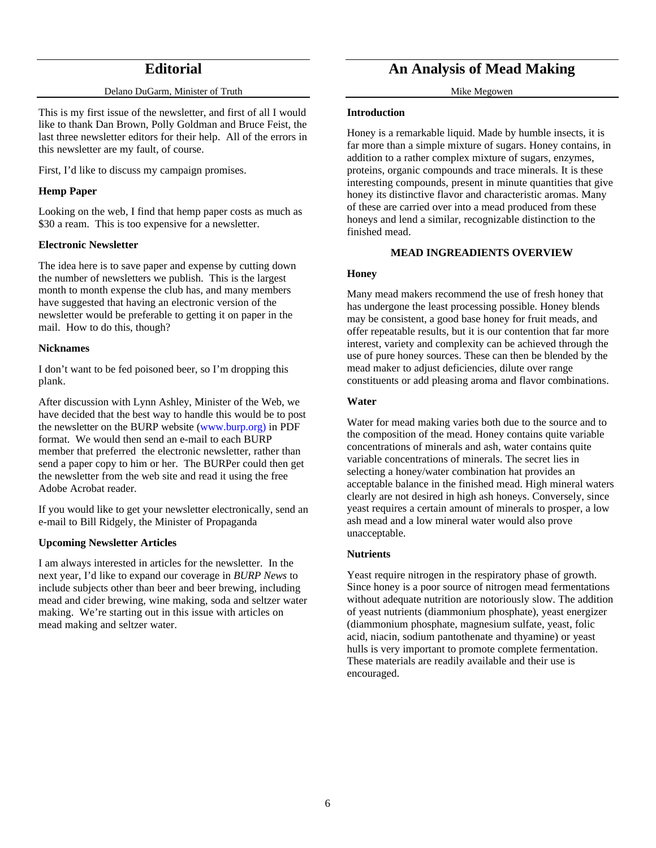## **Editorial**

#### Delano DuGarm, Minister of Truth

This is my first issue of the newsletter, and first of all I would like to thank Dan Brown, Polly Goldman and Bruce Feist, the last three newsletter editors for their help. All of the errors in this newsletter are my fault, of course.

First, I'd like to discuss my campaign promises.

## **Hemp Paper**

Looking on the web, I find that hemp paper costs as much as \$30 a ream. This is too expensive for a newsletter.

### **Electronic Newsletter**

The idea here is to save paper and expense by cutting down the number of newsletters we publish. This is the largest month to month expense the club has, and many members have suggested that having an electronic version of the newsletter would be preferable to getting it on paper in the mail. How to do this, though?

### **Nicknames**

I don't want to be fed poisoned beer, so I'm dropping this plank.

After discussion with Lynn Ashley, Minister of the Web, we have decided that the best way to handle this would be to post the newsletter on the BURP website (www.burp.org) in PDF format. We would then send an e-mail to each BURP member that preferred the electronic newsletter, rather than send a paper copy to him or her. The BURPer could then get the newsletter from the web site and read it using the free Adobe Acrobat reader.

If you would like to get your newsletter electronically, send an e-mail to Bill Ridgely, the Minister of Propaganda

## **Upcoming Newsletter Articles**

I am always interested in articles for the newsletter. In the next year, I'd like to expand our coverage in *BURP News* to include subjects other than beer and beer brewing, including mead and cider brewing, wine making, soda and seltzer water making. We're starting out in this issue with articles on mead making and seltzer water.

## **An Analysis of Mead Making**

Mike Megowen

#### **Introduction**

Honey is a remarkable liquid. Made by humble insects, it is far more than a simple mixture of sugars. Honey contains, in addition to a rather complex mixture of sugars, enzymes, proteins, organic compounds and trace minerals. It is these interesting compounds, present in minute quantities that give honey its distinctive flavor and characteristic aromas. Many of these are carried over into a mead produced from these honeys and lend a similar, recognizable distinction to the finished mead.

### **MEAD INGREADIENTS OVERVIEW**

### **Honey**

Many mead makers recommend the use of fresh honey that has undergone the least processing possible. Honey blends may be consistent, a good base honey for fruit meads, and offer repeatable results, but it is our contention that far more interest, variety and complexity can be achieved through the use of pure honey sources. These can then be blended by the mead maker to adjust deficiencies, dilute over range constituents or add pleasing aroma and flavor combinations.

### **Water**

Water for mead making varies both due to the source and to the composition of the mead. Honey contains quite variable concentrations of minerals and ash, water contains quite variable concentrations of minerals. The secret lies in selecting a honey/water combination hat provides an acceptable balance in the finished mead. High mineral waters clearly are not desired in high ash honeys. Conversely, since yeast requires a certain amount of minerals to prosper, a low ash mead and a low mineral water would also prove unacceptable.

## **Nutrients**

Yeast require nitrogen in the respiratory phase of growth. Since honey is a poor source of nitrogen mead fermentations without adequate nutrition are notoriously slow. The addition of yeast nutrients (diammonium phosphate), yeast energizer (diammonium phosphate, magnesium sulfate, yeast, folic acid, niacin, sodium pantothenate and thyamine) or yeast hulls is very important to promote complete fermentation. These materials are readily available and their use is encouraged.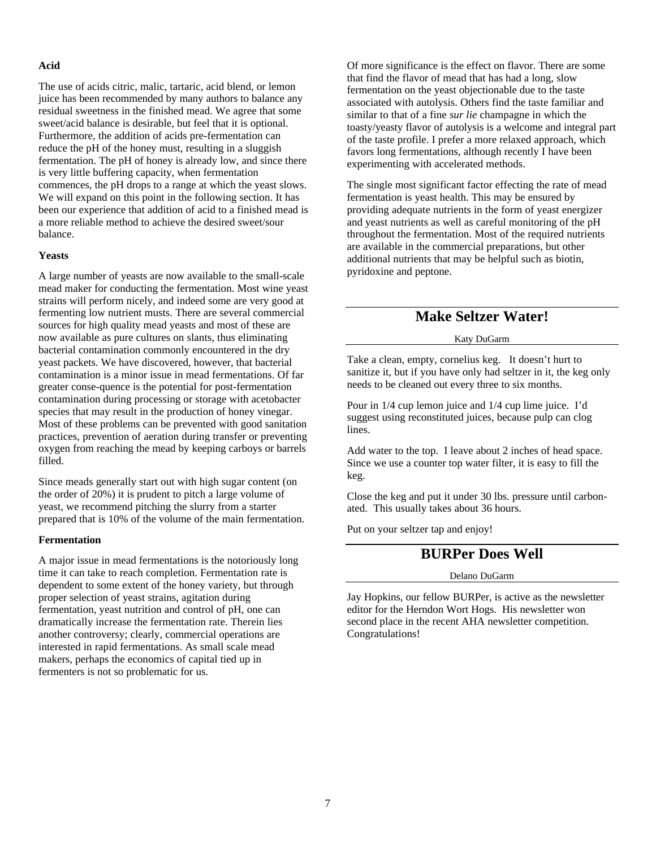### **Acid**

The use of acids citric, malic, tartaric, acid blend, or lemon juice has been recommended by many authors to balance any residual sweetness in the finished mead. We agree that some sweet/acid balance is desirable, but feel that it is optional. Furthermore, the addition of acids pre-fermentation can reduce the pH of the honey must, resulting in a sluggish fermentation. The pH of honey is already low, and since there is very little buffering capacity, when fermentation commences, the pH drops to a range at which the yeast slows. We will expand on this point in the following section. It has been our experience that addition of acid to a finished mead is a more reliable method to achieve the desired sweet/sour balance.

#### **Yeasts**

A large number of yeasts are now available to the small-scale mead maker for conducting the fermentation. Most wine yeast strains will perform nicely, and indeed some are very good at fermenting low nutrient musts. There are several commercial sources for high quality mead yeasts and most of these are now available as pure cultures on slants, thus eliminating bacterial contamination commonly encountered in the dry yeast packets. We have discovered, however, that bacterial contamination is a minor issue in mead fermentations. Of far greater conse-quence is the potential for post-fermentation contamination during processing or storage with acetobacter species that may result in the production of honey vinegar. Most of these problems can be prevented with good sanitation practices, prevention of aeration during transfer or preventing oxygen from reaching the mead by keeping carboys or barrels filled.

Since meads generally start out with high sugar content (on the order of 20%) it is prudent to pitch a large volume of yeast, we recommend pitching the slurry from a starter prepared that is 10% of the volume of the main fermentation.

#### **Fermentation**

A major issue in mead fermentations is the notoriously long time it can take to reach completion. Fermentation rate is dependent to some extent of the honey variety, but through proper selection of yeast strains, agitation during fermentation, yeast nutrition and control of pH, one can dramatically increase the fermentation rate. Therein lies another controversy; clearly, commercial operations are interested in rapid fermentations. As small scale mead makers, perhaps the economics of capital tied up in fermenters is not so problematic for us.

Of more significance is the effect on flavor. There are some that find the flavor of mead that has had a long, slow fermentation on the yeast objectionable due to the taste associated with autolysis. Others find the taste familiar and similar to that of a fine *sur lie* champagne in which the toasty/yeasty flavor of autolysis is a welcome and integral part of the taste profile. I prefer a more relaxed approach, which favors long fermentations, although recently I have been experimenting with accelerated methods.

The single most significant factor effecting the rate of mead fermentation is yeast health. This may be ensured by providing adequate nutrients in the form of yeast energizer and yeast nutrients as well as careful monitoring of the pH throughout the fermentation. Most of the required nutrients are available in the commercial preparations, but other additional nutrients that may be helpful such as biotin, pyridoxine and peptone.

## **Make Seltzer Water!**

#### Katy DuGarm

Take a clean, empty, cornelius keg. It doesn't hurt to sanitize it, but if you have only had seltzer in it, the keg only needs to be cleaned out every three to six months.

Pour in 1/4 cup lemon juice and 1/4 cup lime juice. I'd suggest using reconstituted juices, because pulp can clog lines.

Add water to the top. I leave about 2 inches of head space. Since we use a counter top water filter, it is easy to fill the keg.

Close the keg and put it under 30 lbs. pressure until carbonated. This usually takes about 36 hours.

Put on your seltzer tap and enjoy!

## **BURPer Does Well**

#### Delano DuGarm

Jay Hopkins, our fellow BURPer, is active as the newsletter editor for the Herndon Wort Hogs. His newsletter won second place in the recent AHA newsletter competition. Congratulations!